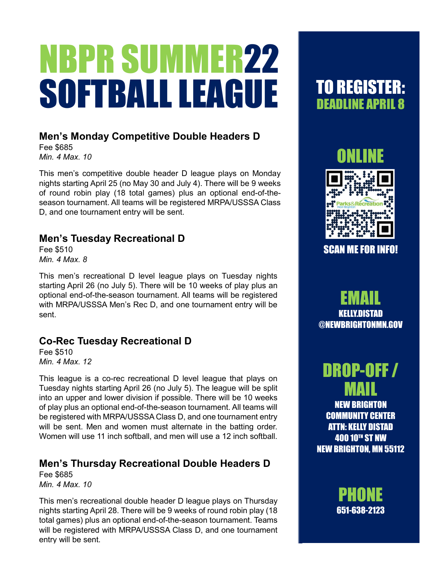# NBPR SUMMER22 SOFTBALL LEAGUE

### **Men's Monday Competitive Double Headers D**

Fee \$685 *Min. 4 Max. 10*

This men's competitive double header D league plays on Monday nights starting April 25 (no May 30 and July 4). There will be 9 weeks of round robin play (18 total games) plus an optional end-of-theseason tournament. All teams will be registered MRPA/USSSA Class D, and one tournament entry will be sent.

### **Men's Tuesday Recreational D**

Fee \$510 *Min. 4 Max. 8*

This men's recreational D level league plays on Tuesday nights starting April 26 (no July 5). There will be 10 weeks of play plus an optional end-of-the-season tournament. All teams will be registered with MRPA/USSSA Men's Rec D, and one tournament entry will be sent.

### **Co-Rec Tuesday Recreational D**

Fee \$510 *Min. 4 Max. 12*

This league is a co-rec recreational D level league that plays on Tuesday nights starting April 26 (no July 5). The league will be split into an upper and lower division if possible. There will be 10 weeks of play plus an optional end-of-the-season tournament. All teams will be registered with MRPA/USSSA Class D, and one tournament entry will be sent. Men and women must alternate in the batting order. Women will use 11 inch softball, and men will use a 12 inch softball.

### **Men's Thursday Recreational Double Headers D**

Fee \$685 *Min. 4 Max. 10*

This men's recreational double header D league plays on Thursday nights starting April 28. There will be 9 weeks of round robin play (18 total games) plus an optional end-of-the-season tournament. Teams will be registered with MRPA/USSSA Class D, and one tournament entry will be sent.

## TO REGISTER: DEADLINE APRIL 8



SCAN ME FOR INFO!

EMAIL KELLY.DISTAD @NEWBRIGHTONMN.GOV

# DROP-OFF / MAIL

NEW BRIGHTON COMMUNITY CENTER ATTN: KELLY DISTAD **400 10TH ST NW** NEW BRIGHTON, MN 55112

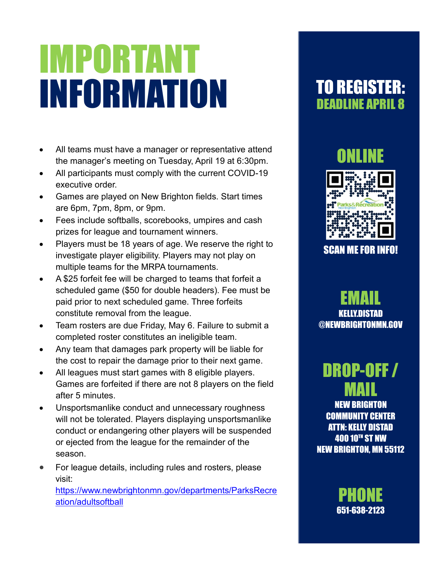# IMPORTANT INFORMATION

- All teams must have a manager or representative attend the manager's meeting on Tuesday, April 19 at 6:30pm.
- All participants must comply with the current COVID-19 executive order.
- Games are played on New Brighton fields. Start times are 6pm, 7pm, 8pm, or 9pm.
- Fees include softballs, scorebooks, umpires and cash prizes for league and tournament winners.
- Players must be 18 years of age. We reserve the right to investigate player eligibility. Players may not play on multiple teams for the MRPA tournaments.
- A \$25 forfeit fee will be charged to teams that forfeit a scheduled game (\$50 for double headers). Fee must be paid prior to next scheduled game. Three forfeits constitute removal from the league.
- Team rosters are due Friday, May 6. Failure to submit a completed roster constitutes an ineligible team.
- Any team that damages park property will be liable for the cost to repair the damage prior to their next game.
- All leagues must start games with 8 eligible players. Games are forfeited if there are not 8 players on the field after 5 minutes.
- Unsportsmanlike conduct and unnecessary roughness will not be tolerated. Players displaying unsportsmanlike conduct or endangering other players will be suspended or ejected from the league for the remainder of the season.
- For league details, including rules and rosters, please visit:

[https://www.newbrightonmn.gov/departments/ParksRecre](https://www.newbrightonmn.gov/departments/ParksRecreation/adultsoftball) [ation/adultsoftball](https://www.newbrightonmn.gov/departments/ParksRecreation/adultsoftball)

## TO REGISTER: DEADLINE APRIL 8

## **ONLINE**



SCAN ME FOR INFO!

EMAIL **KELIY NISTAN** @NEWBRIGHTONMN.GOV

# DROP-OFF / MAIL

NEW BRIGHTON COMMUNITY CENTER ATTN: KELLY DISTAD 400 10TH ST NW NEW BRIGHTON, MN 55112

> **PHONE** 651-638-2123